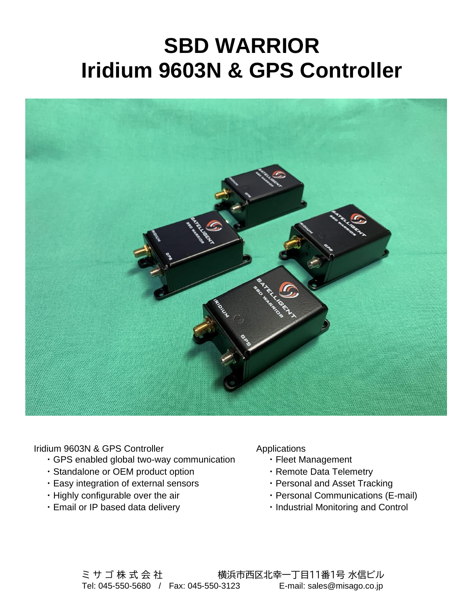## **SBD WARRIOR Iridium 9603N & GPS Controller**



Iridium 9603N & GPS Controller

- ・GPS enabled global two-way communication
- ・Standalone or OEM product option
- ・Easy integration of external sensors
- ・Highly configurable over the air
- ・Email or IP based data delivery

Applications

- ・Fleet Management
- ・Remote Data Telemetry
- ・Personal and Asset Tracking
- ・Personal Communications (E-mail)
- ・Industrial Monitoring and Control

ミ サ ゴ 株 式 会 社 インス 横浜市西区北幸一丁目11番1号 水信ビル Tel: 045-550-5680 / Fax: 045-550-3123 E-mail: sales@misago.co.jp